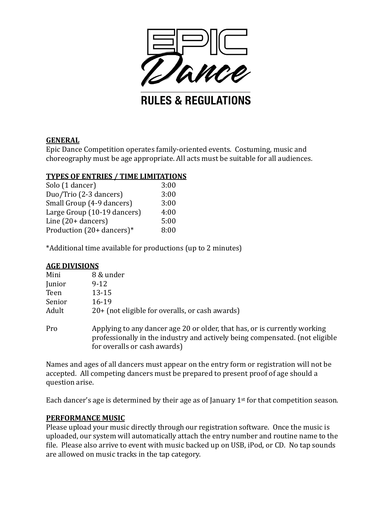

### **GENERAL**

Epic Dance Competition operates family-oriented events. Costuming, music and choreography must be age appropriate. All acts must be suitable for all audiences.

### **TYPES OF ENTRIES / TIME LIMITATIONS**

| 3:00 |
|------|
| 3:00 |
| 3:00 |
| 4:00 |
| 5:00 |
| 8:00 |
|      |

\*Additional time available for productions (up to 2 minutes)

## **AGE DIVISIONS**

| Mini   | 8 & under                                         |
|--------|---------------------------------------------------|
| Junior | 9-12                                              |
| Teen   | $13 - 15$                                         |
| Senior | 16-19                                             |
| Adult  | 20+ (not eligible for overalls, or cash awards)   |
| Pro    | Applying to any dancer age 20 or older, that has, |

as, or is currently working ripplying to any dancer age 20 or older, that has, or is carrently working<br>professionally in the industry and actively being compensated. (not eligible for overalls or cash awards)

Names and ages of all dancers must appear on the entry form or registration will not be accepted. All competing dancers must be prepared to present proof of age should a question arise.

Each dancer's age is determined by their age as of January  $1<sup>st</sup>$  for that competition season.

### **PERFORMANCE MUSIC**

Please upload your music directly through our registration software. Once the music is uploaded, our system will automatically attach the entry number and routine name to the file. Please also arrive to event with music backed up on USB, iPod, or CD. No tap sounds are allowed on music tracks in the tap category.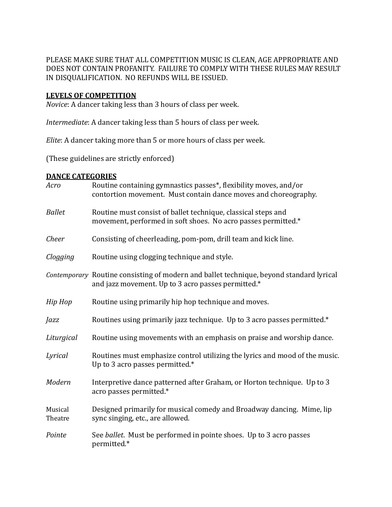PLEASE MAKE SURE THAT ALL COMPETITION MUSIC IS CLEAN, AGE APPROPRIATE AND DOES NOT CONTAIN PROFANITY. FAILURE TO COMPLY WITH THESE RULES MAY RESULT IN DISQUALIFICATION. NO REFUNDS WILL BE ISSUED.

#### **LEVELS OF COMPETITION**

*Novice*: A dancer taking less than 3 hours of class per week.

*Intermediate*: A dancer taking less than 5 hours of class per week.

*Elite*: A dancer taking more than 5 or more hours of class per week.

(These guidelines are strictly enforced)

#### **DANCE CATEGORIES**

| Acro               | Routine containing gymnastics passes*, flexibility moves, and/or<br>contortion movement. Must contain dance moves and choreography.           |
|--------------------|-----------------------------------------------------------------------------------------------------------------------------------------------|
| <b>Ballet</b>      | Routine must consist of ballet technique, classical steps and<br>movement, performed in soft shoes. No acro passes permitted.*                |
| Cheer              | Consisting of cheerleading, pom-pom, drill team and kick line.                                                                                |
| Clogging           | Routine using clogging technique and style.                                                                                                   |
|                    | Contemporary Routine consisting of modern and ballet technique, beyond standard lyrical<br>and jazz movement. Up to 3 acro passes permitted.* |
| Hip Hop            | Routine using primarily hip hop technique and moves.                                                                                          |
| Jazz               | Routines using primarily jazz technique. Up to 3 acro passes permitted.*                                                                      |
| Liturgical         | Routine using movements with an emphasis on praise and worship dance.                                                                         |
| Lyrical            | Routines must emphasize control utilizing the lyrics and mood of the music.<br>Up to 3 acro passes permitted.*                                |
| Modern             | Interpretive dance patterned after Graham, or Horton technique. Up to 3<br>acro passes permitted.*                                            |
| Musical<br>Theatre | Designed primarily for musical comedy and Broadway dancing. Mime, lip<br>sync singing, etc., are allowed.                                     |
| Pointe             | See ballet. Must be performed in pointe shoes. Up to 3 acro passes<br>permitted.*                                                             |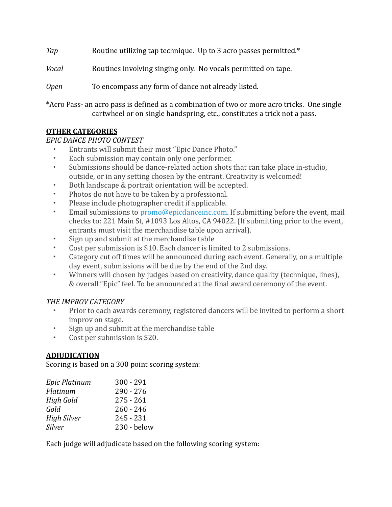*Tap* Routine utilizing tap technique. Up to 3 acro passes permitted.\* *Vocal* Routines involving singing only. No vocals permitted on tape. *Open* To encompass any form of dance not already listed.

\*Acro Pass- an acro pass is defined as a combination of two or more acro tricks. One single cartwheel or on single handspring, etc., constitutes a trick not a pass.

# **OTHER CATEGORIES**

## *EPIC DANCE PHOTO CONTEST*

- Entrants will submit their most "Epic Dance Photo."
- Each submission may contain only one performer.
- Submissions should be dance-related action shots that can take place in-studio, outside, or in any setting chosen by the entrant. Creativity is welcomed!
- Both landscape & portrait orientation will be accepted.
- Photos do not have to be taken by a professional.
- Please include photographer credit if applicable.
- Email submissions to promo@epicdanceinc.com. If submitting before the event, mail checks to: 221 Main St, #1093 Los Altos, CA 94022. (If submitting prior to the event, entrants must visit the merchandise table upon arrival).
- Sign up and submit at the merchandise table
- Cost per submission is \$10. Each dancer is limited to 2 submissions.
- Category cut off times will be announced during each event. Generally, on a multiple day event, submissions will be due by the end of the 2nd day.
- Winners will chosen by judges based on creativity, dance quality (technique, lines), & overall "Epic" feel. To be announced at the final award ceremony of the event.

# **THE IMPROV CATEGORY**

- Prior to each awards ceremony, registered dancers will be invited to perform a short improv on stage.
- Sign up and submit at the merchandise table
- Cost per submission is \$20.

# **ADJUDICATION**

Scoring is based on a 300 point scoring system:

| Epic Platinum      | $300 - 291$ |
|--------------------|-------------|
| Platinum           | $290 - 276$ |
| High Gold          | $275 - 261$ |
| Gold               | $260 - 246$ |
| <b>High Silver</b> | $245 - 231$ |
| Silver             | 230 - below |

Each judge will adjudicate based on the following scoring system: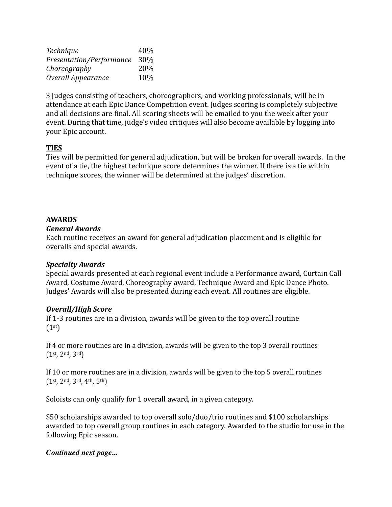| Technique                | 40% |
|--------------------------|-----|
| Presentation/Performance | 30% |
| Choreography             | 20% |
| Overall Appearance       | 10% |

3 judges consisting of teachers, choreographers, and working professionals, will be in attendance at each Epic Dance Competition event. Judges scoring is completely subjective and all decisions are final. All scoring sheets will be emailed to you the week after your event. During that time, judge's video critiques will also become available by logging into your Epic account.

## **TIES**

Ties will be permitted for general adjudication, but will be broken for overall awards. In the event of a tie, the highest technique score determines the winner. If there is a tie within technique scores, the winner will be determined at the judges' discretion.

## **AWARDS**

### *General Awards*

Each routine receives an award for general adjudication placement and is eligible for overalls and special awards.

## *Specialty Awards*

Special awards presented at each regional event include a Performance award, Curtain Call Award, Costume Award, Choreography award, Technique Award and Epic Dance Photo. Judges' Awards will also be presented during each event. All routines are eligible.

## *Overall/High Score*

If  $1-3$  routines are in a division, awards will be given to the top overall routine  $(1<sup>st</sup>)$ 

If 4 or more routines are in a division, awards will be given to the top 3 overall routines  $(1^{st}, 2^{nd}, 3^{rd})$ 

If 10 or more routines are in a division, awards will be given to the top 5 overall routines  $(1^{st}, 2^{nd}, 3^{rd}, 4^{th}, 5^{th})$ 

Soloists can only qualify for 1 overall award, in a given category.

\$50 scholarships awarded to top overall solo/duo/trio routines and \$100 scholarships awarded to top overall group routines in each category. Awarded to the studio for use in the following Epic season.

## *Continued next page...*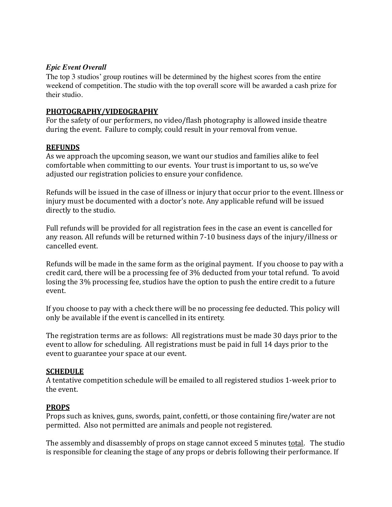### *Epic Event Overall*

The top 3 studios' group routines will be determined by the highest scores from the entire weekend of competition. The studio with the top overall score will be awarded a cash prize for their studio.

### **PHOTOGRAPHY/VIDEOGRAPHY**

For the safety of our performers, no video/flash photography is allowed inside theatre during the event. Failure to comply, could result in your removal from venue.

### **REFUNDS**

As we approach the upcoming season, we want our studios and families alike to feel comfortable when committing to our events. Your trust is important to us, so we've adjusted our registration policies to ensure your confidence.

Refunds will be issued in the case of illness or injury that occur prior to the event. Illness or injury must be documented with a doctor's note. Any applicable refund will be issued directly to the studio.

Full refunds will be provided for all registration fees in the case an event is cancelled for any reason. All refunds will be returned within 7-10 business days of the injury/illness or cancelled event.

Refunds will be made in the same form as the original payment. If you choose to pay with a credit card, there will be a processing fee of 3% deducted from your total refund. To avoid losing the 3% processing fee, studios have the option to push the entire credit to a future event. 

If you choose to pay with a check there will be no processing fee deducted. This policy will only be available if the event is cancelled in its entirety.

The registration terms are as follows: All registrations must be made 30 days prior to the event to allow for scheduling. All registrations must be paid in full 14 days prior to the event to guarantee your space at our event.

## **SCHEDULE**

A tentative competition schedule will be emailed to all registered studios 1-week prior to the event.

### **PROPS**

Props such as knives, guns, swords, paint, confetti, or those containing fire/water are not permitted. Also not permitted are animals and people not registered.

The assembly and disassembly of props on stage cannot exceed 5 minutes total. The studio is responsible for cleaning the stage of any props or debris following their performance. If